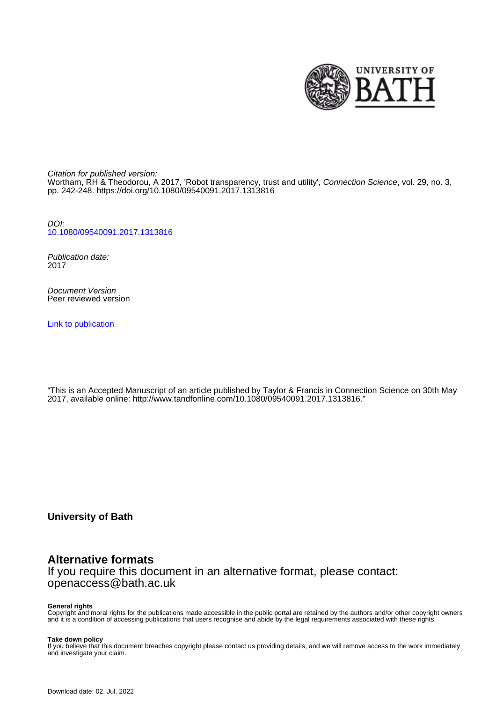

Citation for published version: Wortham, RH & Theodorou, A 2017, 'Robot transparency, trust and utility', Connection Science, vol. 29, no. 3, pp. 242-248. <https://doi.org/10.1080/09540091.2017.1313816>

DOI: [10.1080/09540091.2017.1313816](https://doi.org/10.1080/09540091.2017.1313816)

Publication date: 2017

Document Version Peer reviewed version

[Link to publication](https://researchportal.bath.ac.uk/en/publications/robot-transparency-trust-and-utility(8df8f18f-2012-4fba-9990-5d8839d4d036).html)

"This is an Accepted Manuscript of an article published by Taylor & Francis in Connection Science on 30th May 2017, available online: http://www.tandfonline.com/10.1080/09540091.2017.1313816."

**University of Bath**

# **Alternative formats**

If you require this document in an alternative format, please contact: openaccess@bath.ac.uk

#### **General rights**

Copyright and moral rights for the publications made accessible in the public portal are retained by the authors and/or other copyright owners and it is a condition of accessing publications that users recognise and abide by the legal requirements associated with these rights.

#### **Take down policy**

If you believe that this document breaches copyright please contact us providing details, and we will remove access to the work immediately and investigate your claim.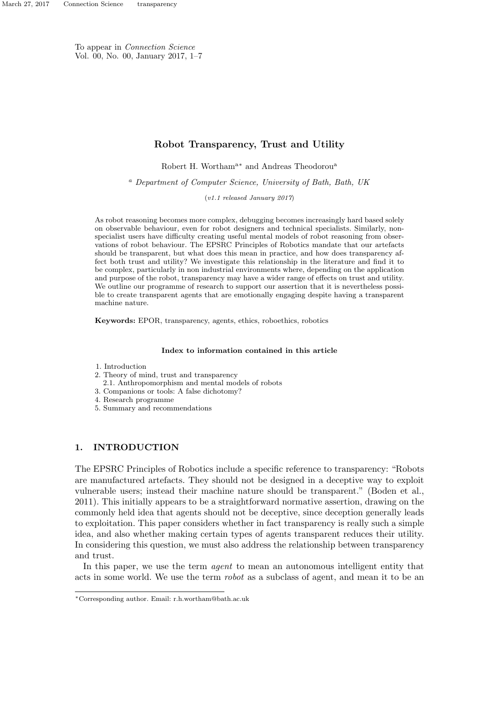To appear in Connection Science Vol. 00, No. 00, January 2017, 1–7

# Robot Transparency, Trust and Utility

Robert H. Wortham<sup>a∗</sup> and Andreas Theodorou<sup>a</sup>

<sup>a</sup> Department of Computer Science, University of Bath, Bath, UK

(v1.1 released January 2017)

As robot reasoning becomes more complex, debugging becomes increasingly hard based solely on observable behaviour, even for robot designers and technical specialists. Similarly, nonspecialist users have difficulty creating useful mental models of robot reasoning from observations of robot behaviour. The EPSRC Principles of Robotics mandate that our artefacts should be transparent, but what does this mean in practice, and how does transparency affect both trust and utility? We investigate this relationship in the literature and find it to be complex, particularly in non industrial environments where, depending on the application and purpose of the robot, transparency may have a wider range of effects on trust and utility. We outline our programme of research to support our assertion that it is nevertheless possible to create transparent agents that are emotionally engaging despite having a transparent machine nature.

Keywords: EPOR, transparency, agents, ethics, roboethics, robotics

#### Index to information contained in this article

1. Introduction

- 2. Theory of mind, trust and transparency
- 2.1. Anthropomorphism and mental models of robots
- 3. Companions or tools: A false dichotomy?
- 4. Research programme
- 5. Summary and recommendations

## 1. INTRODUCTION

The EPSRC Principles of Robotics include a specific reference to transparency: "Robots are manufactured artefacts. They should not be designed in a deceptive way to exploit vulnerable users; instead their machine nature should be transparent." (Boden et al., 2011). This initially appears to be a straightforward normative assertion, drawing on the commonly held idea that agents should not be deceptive, since deception generally leads to exploitation. This paper considers whether in fact transparency is really such a simple idea, and also whether making certain types of agents transparent reduces their utility. In considering this question, we must also address the relationship between transparency and trust.

In this paper, we use the term *agent* to mean an autonomous intelligent entity that acts in some world. We use the term *robot* as a subclass of agent, and mean it to be an

<sup>∗</sup>Corresponding author. Email: r.h.wortham@bath.ac.uk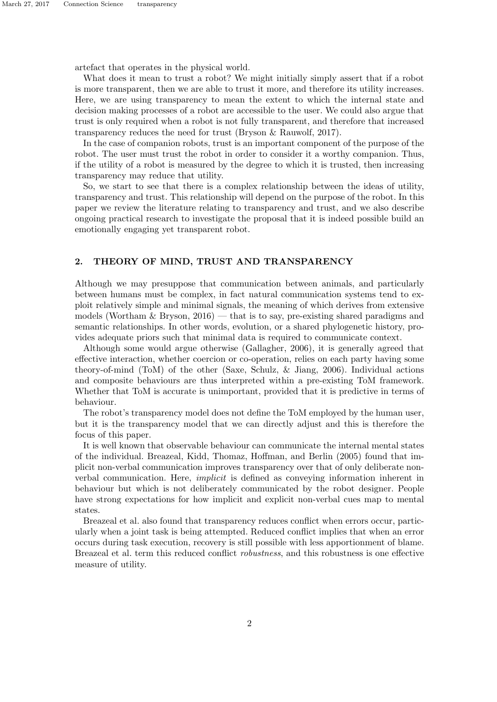artefact that operates in the physical world.

What does it mean to trust a robot? We might initially simply assert that if a robot is more transparent, then we are able to trust it more, and therefore its utility increases. Here, we are using transparency to mean the extent to which the internal state and decision making processes of a robot are accessible to the user. We could also argue that trust is only required when a robot is not fully transparent, and therefore that increased transparency reduces the need for trust (Bryson & Rauwolf, 2017).

In the case of companion robots, trust is an important component of the purpose of the robot. The user must trust the robot in order to consider it a worthy companion. Thus, if the utility of a robot is measured by the degree to which it is trusted, then increasing transparency may reduce that utility.

So, we start to see that there is a complex relationship between the ideas of utility, transparency and trust. This relationship will depend on the purpose of the robot. In this paper we review the literature relating to transparency and trust, and we also describe ongoing practical research to investigate the proposal that it is indeed possible build an emotionally engaging yet transparent robot.

#### 2. THEORY OF MIND, TRUST AND TRANSPARENCY

Although we may presuppose that communication between animals, and particularly between humans must be complex, in fact natural communication systems tend to exploit relatively simple and minimal signals, the meaning of which derives from extensive models (Wortham  $\&$  Bryson, 2016) — that is to say, pre-existing shared paradigms and semantic relationships. In other words, evolution, or a shared phylogenetic history, provides adequate priors such that minimal data is required to communicate context.

Although some would argue otherwise (Gallagher, 2006), it is generally agreed that effective interaction, whether coercion or co-operation, relies on each party having some theory-of-mind (ToM) of the other (Saxe, Schulz, & Jiang, 2006). Individual actions and composite behaviours are thus interpreted within a pre-existing ToM framework. Whether that ToM is accurate is unimportant, provided that it is predictive in terms of behaviour.

The robot's transparency model does not define the ToM employed by the human user, but it is the transparency model that we can directly adjust and this is therefore the focus of this paper.

It is well known that observable behaviour can communicate the internal mental states of the individual. Breazeal, Kidd, Thomaz, Hoffman, and Berlin (2005) found that implicit non-verbal communication improves transparency over that of only deliberate nonverbal communication. Here, implicit is defined as conveying information inherent in behaviour but which is not deliberately communicated by the robot designer. People have strong expectations for how implicit and explicit non-verbal cues map to mental states.

Breazeal et al. also found that transparency reduces conflict when errors occur, particularly when a joint task is being attempted. Reduced conflict implies that when an error occurs during task execution, recovery is still possible with less apportionment of blame. Breazeal et al. term this reduced conflict robustness, and this robustness is one effective measure of utility.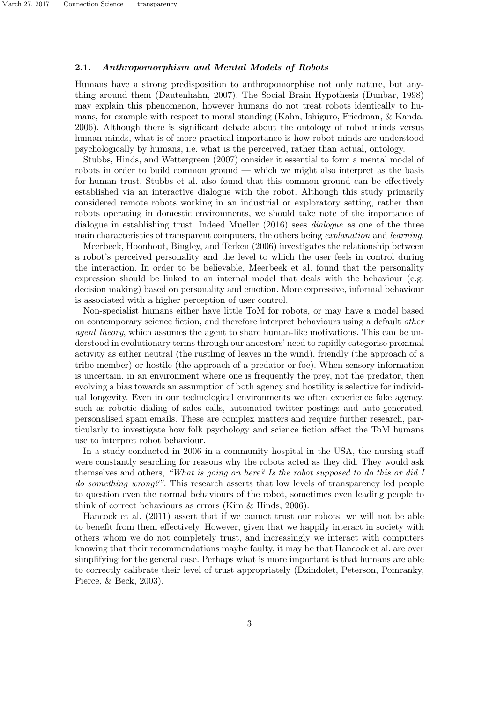### 2.1. Anthropomorphism and Mental Models of Robots

Humans have a strong predisposition to anthropomorphise not only nature, but anything around them (Dautenhahn, 2007). The Social Brain Hypothesis (Dunbar, 1998) may explain this phenomenon, however humans do not treat robots identically to humans, for example with respect to moral standing (Kahn, Ishiguro, Friedman, & Kanda, 2006). Although there is significant debate about the ontology of robot minds versus human minds, what is of more practical importance is how robot minds are understood psychologically by humans, i.e. what is the perceived, rather than actual, ontology.

Stubbs, Hinds, and Wettergreen (2007) consider it essential to form a mental model of robots in order to build common ground — which we might also interpret as the basis for human trust. Stubbs et al. also found that this common ground can be effectively established via an interactive dialogue with the robot. Although this study primarily considered remote robots working in an industrial or exploratory setting, rather than robots operating in domestic environments, we should take note of the importance of dialogue in establishing trust. Indeed Mueller (2016) sees *dialoque* as one of the three main characteristics of transparent computers, the others being explanation and learning.

Meerbeek, Hoonhout, Bingley, and Terken (2006) investigates the relationship between a robot's perceived personality and the level to which the user feels in control during the interaction. In order to be believable, Meerbeek et al. found that the personality expression should be linked to an internal model that deals with the behaviour (e.g. decision making) based on personality and emotion. More expressive, informal behaviour is associated with a higher perception of user control.

Non-specialist humans either have little ToM for robots, or may have a model based on contemporary science fiction, and therefore interpret behaviours using a default other *agent theory*, which assumes the agent to share human-like motivations. This can be understood in evolutionary terms through our ancestors' need to rapidly categorise proximal activity as either neutral (the rustling of leaves in the wind), friendly (the approach of a tribe member) or hostile (the approach of a predator or foe). When sensory information is uncertain, in an environment where one is frequently the prey, not the predator, then evolving a bias towards an assumption of both agency and hostility is selective for individual longevity. Even in our technological environments we often experience fake agency, such as robotic dialing of sales calls, automated twitter postings and auto-generated, personalised spam emails. These are complex matters and require further research, particularly to investigate how folk psychology and science fiction affect the ToM humans use to interpret robot behaviour.

In a study conducted in 2006 in a community hospital in the USA, the nursing staff were constantly searching for reasons why the robots acted as they did. They would ask themselves and others, "What is going on here? Is the robot supposed to do this or did I do something wrong?". This research asserts that low levels of transparency led people to question even the normal behaviours of the robot, sometimes even leading people to think of correct behaviours as errors (Kim & Hinds, 2006).

Hancock et al. (2011) assert that if we cannot trust our robots, we will not be able to benefit from them effectively. However, given that we happily interact in society with others whom we do not completely trust, and increasingly we interact with computers knowing that their recommendations maybe faulty, it may be that Hancock et al. are over simplifying for the general case. Perhaps what is more important is that humans are able to correctly calibrate their level of trust appropriately (Dzindolet, Peterson, Pomranky, Pierce, & Beck, 2003).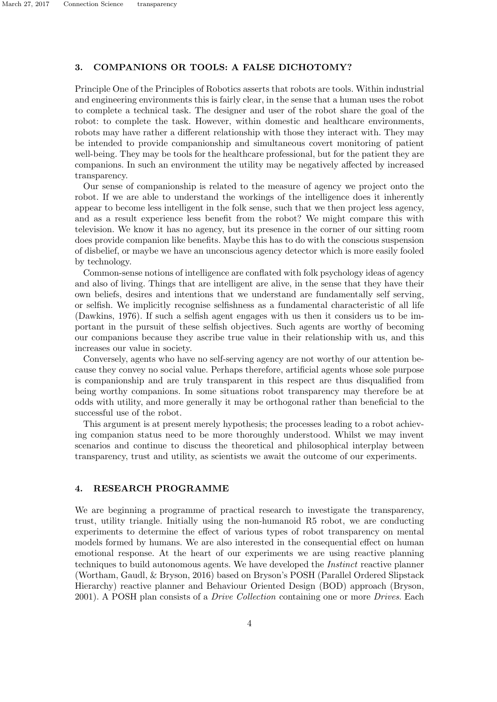### 3. COMPANIONS OR TOOLS: A FALSE DICHOTOMY?

Principle One of the Principles of Robotics asserts that robots are tools. Within industrial and engineering environments this is fairly clear, in the sense that a human uses the robot to complete a technical task. The designer and user of the robot share the goal of the robot: to complete the task. However, within domestic and healthcare environments, robots may have rather a different relationship with those they interact with. They may be intended to provide companionship and simultaneous covert monitoring of patient well-being. They may be tools for the healthcare professional, but for the patient they are companions. In such an environment the utility may be negatively affected by increased transparency.

Our sense of companionship is related to the measure of agency we project onto the robot. If we are able to understand the workings of the intelligence does it inherently appear to become less intelligent in the folk sense, such that we then project less agency, and as a result experience less benefit from the robot? We might compare this with television. We know it has no agency, but its presence in the corner of our sitting room does provide companion like benefits. Maybe this has to do with the conscious suspension of disbelief, or maybe we have an unconscious agency detector which is more easily fooled by technology.

Common-sense notions of intelligence are conflated with folk psychology ideas of agency and also of living. Things that are intelligent are alive, in the sense that they have their own beliefs, desires and intentions that we understand are fundamentally self serving, or selfish. We implicitly recognise selfishness as a fundamental characteristic of all life (Dawkins, 1976). If such a selfish agent engages with us then it considers us to be important in the pursuit of these selfish objectives. Such agents are worthy of becoming our companions because they ascribe true value in their relationship with us, and this increases our value in society.

Conversely, agents who have no self-serving agency are not worthy of our attention because they convey no social value. Perhaps therefore, artificial agents whose sole purpose is companionship and are truly transparent in this respect are thus disqualified from being worthy companions. In some situations robot transparency may therefore be at odds with utility, and more generally it may be orthogonal rather than beneficial to the successful use of the robot.

This argument is at present merely hypothesis; the processes leading to a robot achieving companion status need to be more thoroughly understood. Whilst we may invent scenarios and continue to discuss the theoretical and philosophical interplay between transparency, trust and utility, as scientists we await the outcome of our experiments.

#### 4. RESEARCH PROGRAMME

We are beginning a programme of practical research to investigate the transparency, trust, utility triangle. Initially using the non-humanoid R5 robot, we are conducting experiments to determine the effect of various types of robot transparency on mental models formed by humans. We are also interested in the consequential effect on human emotional response. At the heart of our experiments we are using reactive planning techniques to build autonomous agents. We have developed the Instinct reactive planner (Wortham, Gaudl, & Bryson, 2016) based on Bryson's POSH (Parallel Ordered Slipstack Hierarchy) reactive planner and Behaviour Oriented Design (BOD) approach (Bryson, 2001). A POSH plan consists of a Drive Collection containing one or more Drives. Each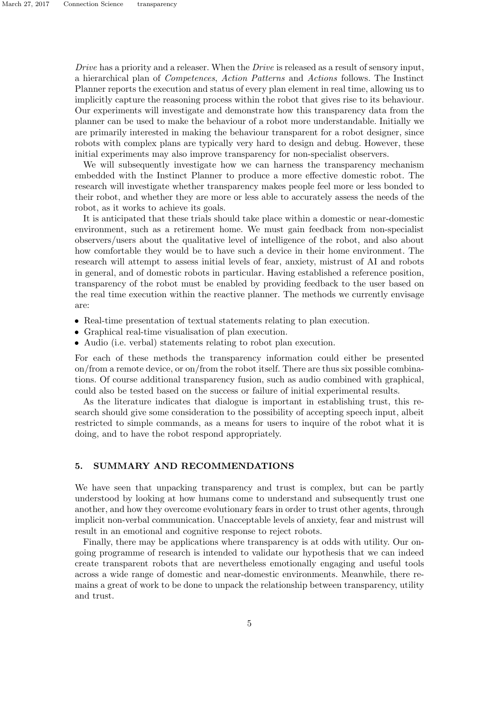Drive has a priority and a releaser. When the Drive is released as a result of sensory input, a hierarchical plan of Competences, Action Patterns and Actions follows. The Instinct Planner reports the execution and status of every plan element in real time, allowing us to implicitly capture the reasoning process within the robot that gives rise to its behaviour. Our experiments will investigate and demonstrate how this transparency data from the planner can be used to make the behaviour of a robot more understandable. Initially we are primarily interested in making the behaviour transparent for a robot designer, since robots with complex plans are typically very hard to design and debug. However, these initial experiments may also improve transparency for non-specialist observers.

We will subsequently investigate how we can harness the transparency mechanism embedded with the Instinct Planner to produce a more effective domestic robot. The research will investigate whether transparency makes people feel more or less bonded to their robot, and whether they are more or less able to accurately assess the needs of the robot, as it works to achieve its goals.

It is anticipated that these trials should take place within a domestic or near-domestic environment, such as a retirement home. We must gain feedback from non-specialist observers/users about the qualitative level of intelligence of the robot, and also about how comfortable they would be to have such a device in their home environment. The research will attempt to assess initial levels of fear, anxiety, mistrust of AI and robots in general, and of domestic robots in particular. Having established a reference position, transparency of the robot must be enabled by providing feedback to the user based on the real time execution within the reactive planner. The methods we currently envisage are:

- Real-time presentation of textual statements relating to plan execution.
- Graphical real-time visualisation of plan execution.
- Audio (i.e. verbal) statements relating to robot plan execution.

For each of these methods the transparency information could either be presented on/from a remote device, or on/from the robot itself. There are thus six possible combinations. Of course additional transparency fusion, such as audio combined with graphical, could also be tested based on the success or failure of initial experimental results.

As the literature indicates that dialogue is important in establishing trust, this research should give some consideration to the possibility of accepting speech input, albeit restricted to simple commands, as a means for users to inquire of the robot what it is doing, and to have the robot respond appropriately.

### 5. SUMMARY AND RECOMMENDATIONS

We have seen that unpacking transparency and trust is complex, but can be partly understood by looking at how humans come to understand and subsequently trust one another, and how they overcome evolutionary fears in order to trust other agents, through implicit non-verbal communication. Unacceptable levels of anxiety, fear and mistrust will result in an emotional and cognitive response to reject robots.

Finally, there may be applications where transparency is at odds with utility. Our ongoing programme of research is intended to validate our hypothesis that we can indeed create transparent robots that are nevertheless emotionally engaging and useful tools across a wide range of domestic and near-domestic environments. Meanwhile, there remains a great of work to be done to unpack the relationship between transparency, utility and trust.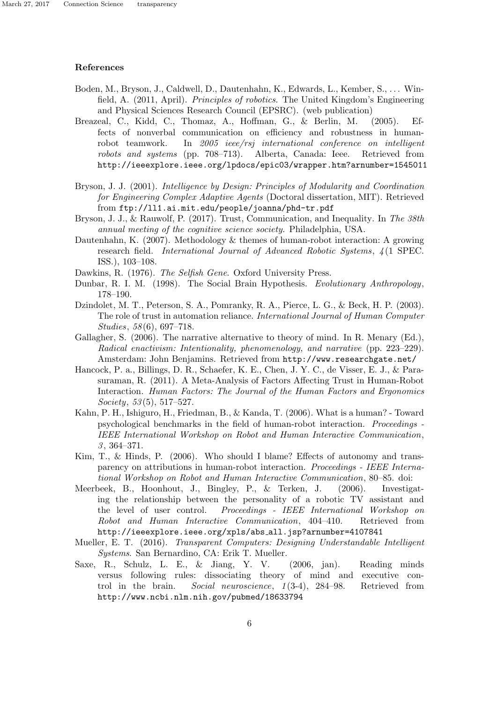#### References

- Boden, M., Bryson, J., Caldwell, D., Dautenhahn, K., Edwards, L., Kember, S., . . . Winfield, A. (2011, April). Principles of robotics. The United Kingdom's Engineering and Physical Sciences Research Council (EPSRC). (web publication)
- Breazeal, C., Kidd, C., Thomaz, A., Hoffman, G., & Berlin, M. (2005). Effects of nonverbal communication on efficiency and robustness in humanrobot teamwork. In 2005 ieee/rsj international conference on intelligent robots and systems (pp. 708–713). Alberta, Canada: Ieee. Retrieved from http://ieeexplore.ieee.org/lpdocs/epic03/wrapper.htm?arnumber=1545011
- Bryson, J. J. (2001). Intelligence by Design: Principles of Modularity and Coordination for Engineering Complex Adaptive Agents (Doctoral dissertation, MIT). Retrieved from ftp://ll1.ai.mit.edu/people/joanna/phd-tr.pdf
- Bryson, J. J., & Rauwolf, P. (2017). Trust, Communication, and Inequality. In The 38th annual meeting of the cognitive science society. Philadelphia, USA.
- Dautenhahn, K. (2007). Methodology  $&$  themes of human-robot interaction: A growing research field. International Journal of Advanced Robotic Systems, 4 (1 SPEC. ISS.), 103–108.
- Dawkins, R. (1976). The Selfish Gene. Oxford University Press.
- Dunbar, R. I. M. (1998). The Social Brain Hypothesis. Evolutionary Anthropology, 178–190.
- Dzindolet, M. T., Peterson, S. A., Pomranky, R. A., Pierce, L. G., & Beck, H. P. (2003). The role of trust in automation reliance. International Journal of Human Computer Studies, 58(6), 697–718.
- Gallagher, S. (2006). The narrative alternative to theory of mind. In R. Menary (Ed.), Radical enactivism: Intentionality, phenomenology, and narrative (pp. 223–229). Amsterdam: John Benjamins. Retrieved from http://www.researchgate.net/
- Hancock, P. a., Billings, D. R., Schaefer, K. E., Chen, J. Y. C., de Visser, E. J., & Parasuraman, R. (2011). A Meta-Analysis of Factors Affecting Trust in Human-Robot Interaction. Human Factors: The Journal of the Human Factors and Ergonomics  $Society, 53(5), 517-527.$
- Kahn, P. H., Ishiguro, H., Friedman, B., & Kanda, T. (2006). What is a human? Toward psychological benchmarks in the field of human-robot interaction. Proceedings - IEEE International Workshop on Robot and Human Interactive Communication, 3 , 364–371.
- Kim, T., & Hinds, P. (2006). Who should I blame? Effects of autonomy and transparency on attributions in human-robot interaction. Proceedings - IEEE International Workshop on Robot and Human Interactive Communication, 80–85. doi:
- Meerbeek, B., Hoonhout, J., Bingley, P., & Terken, J. (2006). Investigating the relationship between the personality of a robotic TV assistant and the level of user control. Proceedings - IEEE International Workshop on Robot and Human Interactive Communication, 404–410. Retrieved from http://ieeexplore.ieee.org/xpls/abs all.jsp?arnumber=4107841
- Mueller, E. T. (2016). Transparent Computers: Designing Understandable Intelligent Systems. San Bernardino, CA: Erik T. Mueller.
- Saxe, R., Schulz, L. E., & Jiang, Y. V. (2006, jan). Reading minds versus following rules: dissociating theory of mind and executive control in the brain. Social neuroscience, 1(3-4), 284–98. Retrieved from http://www.ncbi.nlm.nih.gov/pubmed/18633794